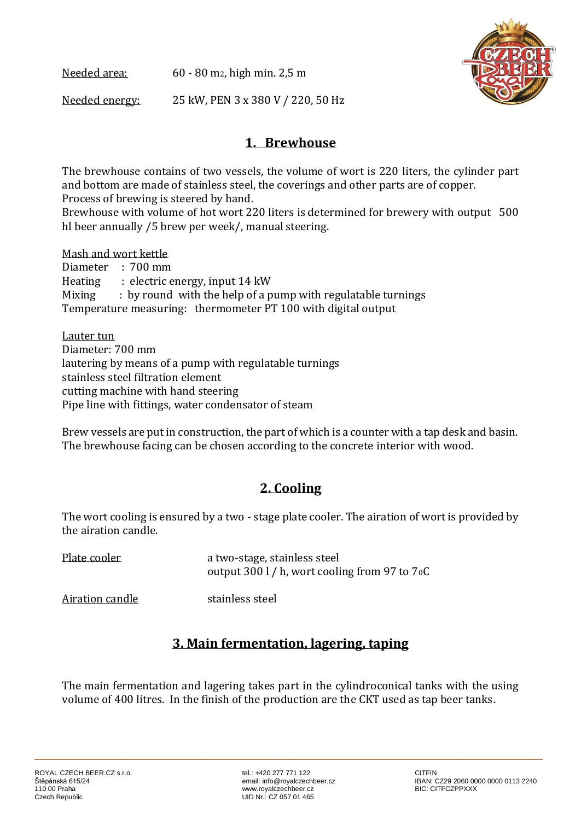Needed area: 60 - 80 m<sub>2</sub>, high min. 2,5 m Needed energy: 25 kW, PEN 3 x 380 V / 220, 50 Hz



### **1. Brewhouse**

The brewhouse contains of two vessels, the volume of wort is 220 liters, the cylinder part and bottom are made of stainless steel, the coverings and other parts are of copper. Process of brewing is steered by hand.

Brewhouse with volume of hot wort 220 liters is determined for brewery with output 500 hl beer annually /5 brew per week/, manual steering.

Mash and wort kettle Diameter : 700 mm Heating : electric energy, input 14 kW Mixing : by round with the help of a pump with regulatable turnings Temperature measuring: thermometer PT 100 with digital output

Lauter tun Diameter: 700 mm lautering by means of a pump with regulatable turnings stainless steel filtration element cutting machine with hand steering Pipe line with fittings, water condensator of steam

Brew vessels are put in construction, the part of which is a counter with a tap desk and basin. The brewhouse facing can be chosen according to the concrete interior with wood.

# **2. Cooling**

The wort cooling is ensured by a two - stage plate cooler. The airation of wort is provided by the airation candle.

| Plate cooler | a two-stage, stainless steel                    |
|--------------|-------------------------------------------------|
|              | output 300 l / h, wort cooling from 97 to $70C$ |
|              |                                                 |

Airation candle stainless steel

# **3. Main fermentation, lagering, taping**

The main fermentation and lagering takes part in the cylindroconical tanks with the using volume of 400 litres. In the finish of the production are the CKT used as tap beer tanks.

**\_\_\_\_\_\_\_\_\_\_\_\_\_\_\_\_\_\_\_\_\_\_\_\_\_\_\_\_\_\_\_\_\_\_\_\_\_\_\_\_\_\_\_\_\_\_\_\_\_\_\_\_**